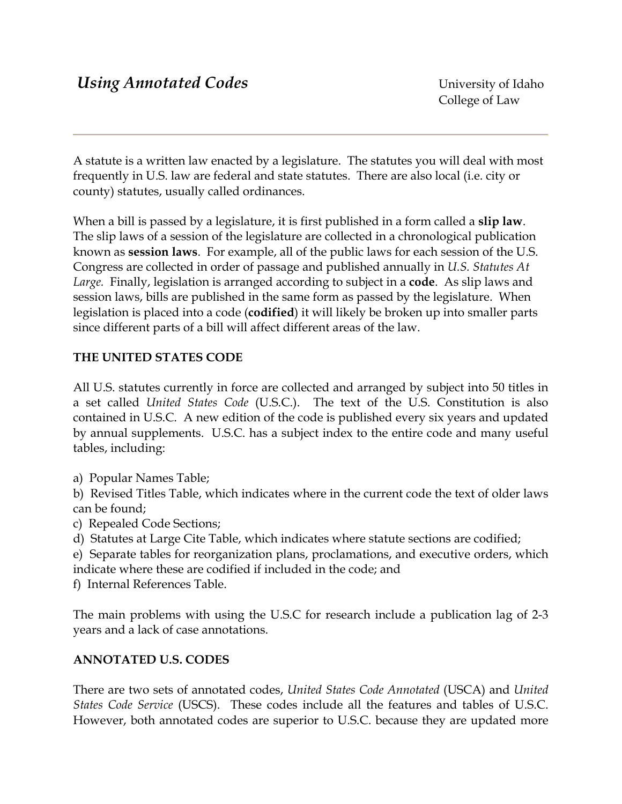A statute is a written law enacted by a legislature. The statutes you will deal with most frequently in U.S. law are federal and state statutes. There are also local (i.e. city or county) statutes, usually called ordinances.

When a bill is passed by a legislature, it is first published in a form called a **slip law**. The slip laws of a session of the legislature are collected in a chronological publication known as **session laws**. For example, all of the public laws for each session of the U.S. Congress are collected in order of passage and published annually in *U.S. Statutes At Large.* Finally, legislation is arranged according to subject in a **code**. As slip laws and session laws, bills are published in the same form as passed by the legislature. When legislation is placed into a code (**codified**) it will likely be broken up into smaller parts since different parts of a bill will affect different areas of the law.

# **THE UNITED STATES CODE**

All U.S. statutes currently in force are collected and arranged by subject into 50 titles in a set called *United States Code* (U.S.C.). The text of the U.S. Constitution is also contained in U.S.C. A new edition of the code is published every six years and updated by annual supplements. U.S.C. has a subject index to the entire code and many useful tables, including:

a) Popular Names Table;

b) Revised Titles Table, which indicates where in the current code the text of older laws can be found;

c) Repealed Code Sections;

d) Statutes at Large Cite Table, which indicates where statute sections are codified;

e) Separate tables for reorganization plans, proclamations, and executive orders, which indicate where these are codified if included in the code; and

f) Internal References Table.

The main problems with using the U.S.C for research include a publication lag of 2-3 years and a lack of case annotations.

## **ANNOTATED U.S. CODES**

There are two sets of annotated codes, *United States Code Annotated* (USCA) and *United States Code Service* (USCS). These codes include all the features and tables of U.S.C. However, both annotated codes are superior to U.S.C. because they are updated more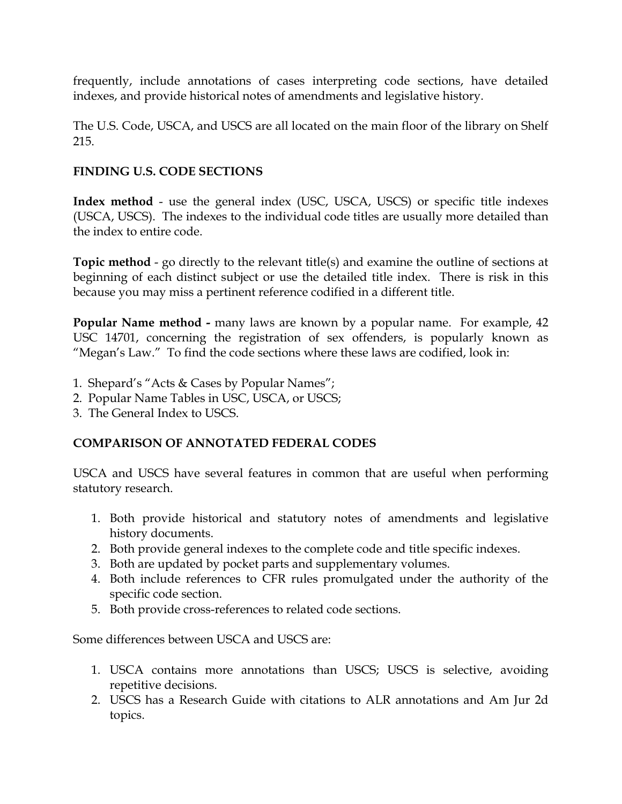frequently, include annotations of cases interpreting code sections, have detailed indexes, and provide historical notes of amendments and legislative history.

The U.S. Code, USCA, and USCS are all located on the main floor of the library on Shelf 215.

#### **FINDING U.S. CODE SECTIONS**

**Index method** - use the general index (USC, USCA, USCS) or specific title indexes (USCA, USCS). The indexes to the individual code titles are usually more detailed than the index to entire code.

**Topic method** - go directly to the relevant title(s) and examine the outline of sections at beginning of each distinct subject or use the detailed title index. There is risk in this because you may miss a pertinent reference codified in a different title.

**Popular Name method -** many laws are known by a popular name. For example, 42 USC 14701, concerning the registration of sex offenders, is popularly known as "Megan's Law." To find the code sections where these laws are codified, look in:

- 1. Shepard's "Acts & Cases by Popular Names";
- 2. Popular Name Tables in USC, USCA, or USCS;
- 3. The General Index to USCS.

## **COMPARISON OF ANNOTATED FEDERAL CODES**

USCA and USCS have several features in common that are useful when performing statutory research.

- 1. Both provide historical and statutory notes of amendments and legislative history documents.
- 2. Both provide general indexes to the complete code and title specific indexes.
- 3. Both are updated by pocket parts and supplementary volumes.
- 4. Both include references to CFR rules promulgated under the authority of the specific code section.
- 5. Both provide cross-references to related code sections.

Some differences between USCA and USCS are:

- 1. USCA contains more annotations than USCS; USCS is selective, avoiding repetitive decisions.
- 2. USCS has a Research Guide with citations to ALR annotations and Am Jur 2d topics.